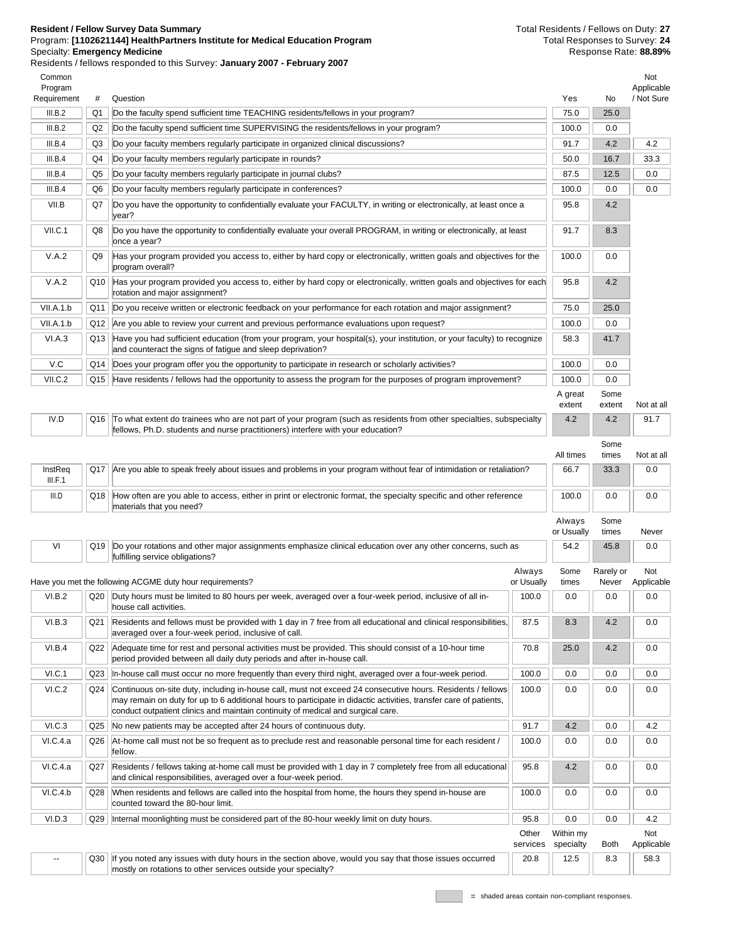## **Resident / Fellow Survey Data Summary** Program: **[1102621144] HealthPartners Institute for Medical Education Program** Specialty: **Emergency Medicine**

Residents / fellows responded to this Survey: **January 2007 - February 2007**

Total Residents / Fellows on Duty: **27** Total Responses to Survey: **24** Response Rate: **88.89%**

Common Program Requirement # Question Yes No Not Applicable / Not Sure III.B.2 Q1 Do the faculty spend sufficient time TEACHING residents/fellows in your program? 75.0 75.0 25.0 III.B.2  $\bigcup$  Q2  $\bigcup$  Do the faculty spend sufficient time SUPERVISING the residents/fellows in your program? III.B.4 Q3 Do your faculty members regularly participate in organized clinical discussions? 91.7 4.2 4.2 III.B.4 Q4 Do your faculty members regularly participate in rounds? 50.0 16.7 33.3 III.B.4 Q5 Do your faculty members regularly participate in journal clubs? 87.5 87.5 0.0 III.B.4 Q6 Do your faculty members regularly participate in conferences? 100.0 0.0 0.0 0.0 0.0 0.0 0.0 0.0 0.0 VII.B Q7 Do you have the opportunity to confidentially evaluate your FACULTY, in writing or electronically, at least once a year? 95.8 4.2 VII.C.1 Q8 Do you have the opportunity to confidentially evaluate your overall PROGRAM, in writing or electronically, at least once a year?  $91.7$  8.3 V.A.2 Q9 Has your program provided you access to, either by hard copy or electronically, written goals and objectives for the program overall?  $100.0$  0.0 V.A.2 Q10 Has your program provided you access to, either by hard copy or electronically, written goals and objectives for each rotation and major assignment? 95.8 4.2 VII.A.1.b Q11 Do you receive written or electronic feedback on your performance for each rotation and major assignment? 75.0 25.0 VII.A.1.b | Q12 Are you able to review your current and previous performance evaluations upon request? | 100.0 | 0.0 VI.A.3 Q13 Have you had sufficient education (from your program, your hospital(s), your institution, or your faculty) to recognize and counteract the signs of fatigue and sleep deprivation? 58.3 41.7 V.C Q14 Does your program offer you the opportunity to participate in research or scholarly activities? 100.0 0.0 0.0 VII.C.2 Q15 Have residents / fellows had the opportunity to assess the program for the purposes of program improvement? 100.0 0.0 A great extent Some extent Not at all IV.D Q16 To what extent do trainees who are not part of your program (such as residents from other specialties, subspecialty fellows, Ph.D. students and nurse practitioners) interfere with your education? 4.2  $42 \div 917$ All times Some times Not at all **InstReq** III.F.1 Q17 Are you able to speak freely about issues and problems in your program without fear of intimidation or retaliation? 66.7 33.3 0.0  $\vert$  Q18  $\vert$  How often are you able to access, either in print or electronic format, the specialty specific and other reference materials that you need?  $100.0$  0.0 0.0 Always or Usually Some times Never VI | Q19 | Do your rotations and other major assignments emphasize clinical education over any other concerns, such as fulfilling service obligations? 54.2 45.8 0.0 Have you met the following ACGME duty hour requirements? Always or Usually Some times Rarely or Never Not Applicable VI.B.2  $\vert$  Q20 | Duty hours must be limited to 80 hours per week, averaged over a four-week period, inclusive of all inhouse call activities.  $100.0$   $\parallel$  0.0  $\parallel$  0.0  $\parallel$  0.0 VI.B.3 Q21 Residents and fellows must be provided with 1 day in 7 free from all educational and clinical responsibilities, averaged over a four-week period, inclusive of call. 87.5 8.3 4.2 0.0 VI.B.4 Q22 Adequate time for rest and personal activities must be provided. This should consist of a 10-hour time period provided between all daily duty periods and after in-house call. 70.8 25.0 4.2 0.0 VI.C.1 Q23 In-house call must occur no more frequently than every third night, averaged over a four-week period. 100.0 0.0 0.0 0.0 0.0 VI.C.2 Q24 Continuous on-site duty, including in-house call, must not exceed 24 consecutive hours. Residents / fellows may remain on duty for up to 6 additional hours to participate in didactic activities, transfer care of patients, conduct outpatient clinics and maintain continuity of medical and surgical care.  $100.0$  0.0 0.0 0.0 VI.C.3 Q25 No new patients may be accepted after 24 hours of continuous duty. 91.7 4.2 0.0 4.2 VI.C.4.a  $\|$  Q26  $\|$ At-home call must not be so frequent as to preclude rest and reasonable personal time for each resident / fellow.  $100.0$   $\parallel$  0.0  $\parallel$  0.0  $\parallel$  0.0 VI.C.4.a Q27 Residents / fellows taking at-home call must be provided with 1 day in 7 completely free from all educational and clinical responsibilities, averaged over a four-week period.  $95.8$   $|$  4.2  $|$  0.0  $|$  0.0 VI.C.4.b Q28 When residents and fellows are called into the hospital from home, the hours they spend in-house are counted toward the 80-hour limit.  $100.0$   $0.0$   $0.0$   $0.0$   $0.0$ VI.D.3 Q29 Internal moonlighting must be considered part of the 80-hour weekly limit on duty hours. 95.8 0.0 0.0 4.2 **Other** services Within my specialty Both Not Applicable  $20.8$  | 12.5 | 8.3 | 58.3

Q30 | If you noted any issues with duty hours in the section above, would you say that those issues occurred mostly on rotations to other services outside your specialty?